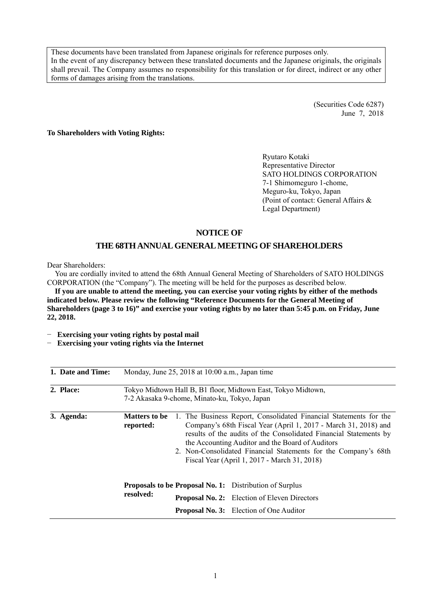These documents have been translated from Japanese originals for reference purposes only. In the event of any discrepancy between these translated documents and the Japanese originals, the originals shall prevail. The Company assumes no responsibility for this translation or for direct, indirect or any other forms of damages arising from the translations.

> (Securities Code 6287) June 7, 2018

**To Shareholders with Voting Rights:** 

Ryutaro Kotaki Representative Director SATO HOLDINGS CORPORATION 7-1 Shimomeguro 1-chome, Meguro-ku, Tokyo, Japan (Point of contact: General Affairs & Legal Department)

# **NOTICE OF**

## **THE 68TH ANNUAL GENERAL MEETING OF SHAREHOLDERS**

Dear Shareholders:

You are cordially invited to attend the 68th Annual General Meeting of Shareholders of SATO HOLDINGS CORPORATION (the "Company"). The meeting will be held for the purposes as described below.

**If you are unable to attend the meeting, you can exercise your voting rights by either of the methods indicated below. Please review the following "Reference Documents for the General Meeting of Shareholders (page 3 to 16)" and exercise your voting rights by no later than 5:45 p.m. on Friday, June 22, 2018.** 

− **Exercising your voting rights by postal mail** 

− **Exercising your voting rights via the Internet** 

| 1. Date and Time: |                            | Monday, June 25, 2018 at 10:00 a.m., Japan time |                                                                                                                                                                                                                                                                                                                                                                                  |
|-------------------|----------------------------|-------------------------------------------------|----------------------------------------------------------------------------------------------------------------------------------------------------------------------------------------------------------------------------------------------------------------------------------------------------------------------------------------------------------------------------------|
| 2. Place:         |                            | 7-2 Akasaka 9-chome, Minato-ku, Tokyo, Japan    | Tokyo Midtown Hall B, B1 floor, Midtown East, Tokyo Midtown,                                                                                                                                                                                                                                                                                                                     |
| 3. Agenda:        | Matters to be<br>reported: |                                                 | 1. The Business Report, Consolidated Financial Statements for the<br>Company's 68th Fiscal Year (April 1, 2017 - March 31, 2018) and<br>results of the audits of the Consolidated Financial Statements by<br>the Accounting Auditor and the Board of Auditors<br>2. Non-Consolidated Financial Statements for the Company's 68th<br>Fiscal Year (April 1, 2017 - March 31, 2018) |
|                   |                            |                                                 | <b>Proposals to be Proposal No. 1:</b> Distribution of Surplus                                                                                                                                                                                                                                                                                                                   |
|                   | resolved:                  |                                                 | <b>Proposal No. 2:</b> Election of Eleven Directors                                                                                                                                                                                                                                                                                                                              |
|                   |                            |                                                 | <b>Proposal No. 3:</b> Election of One Auditor                                                                                                                                                                                                                                                                                                                                   |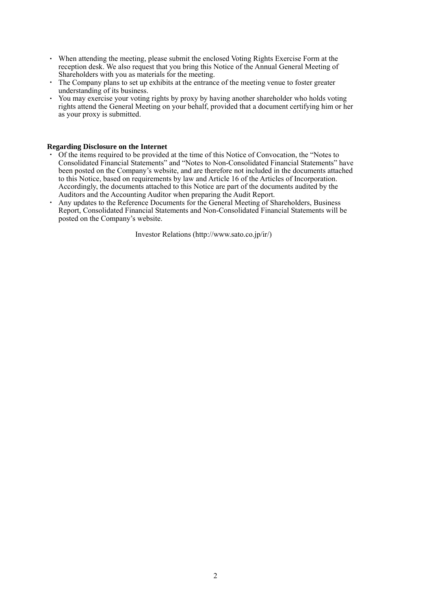- ・ When attending the meeting, please submit the enclosed Voting Rights Exercise Form at the reception desk. We also request that you bring this Notice of the Annual General Meeting of Shareholders with you as materials for the meeting.
- ・ The Company plans to set up exhibits at the entrance of the meeting venue to foster greater understanding of its business.
- ・ You may exercise your voting rights by proxy by having another shareholder who holds voting rights attend the General Meeting on your behalf, provided that a document certifying him or her as your proxy is submitted.

#### **Regarding Disclosure on the Internet**

- ・ Of the items required to be provided at the time of this Notice of Convocation, the "Notes to Consolidated Financial Statements" and "Notes to Non-Consolidated Financial Statements" have been posted on the Company's website, and are therefore not included in the documents attached to this Notice, based on requirements by law and Article 16 of the Articles of Incorporation. Accordingly, the documents attached to this Notice are part of the documents audited by the Auditors and the Accounting Auditor when preparing the Audit Report.
- ・ Any updates to the Reference Documents for the General Meeting of Shareholders, Business Report, Consolidated Financial Statements and Non-Consolidated Financial Statements will be posted on the Company's website.

Investor Relations (http://www.sato.co.jp/ir/)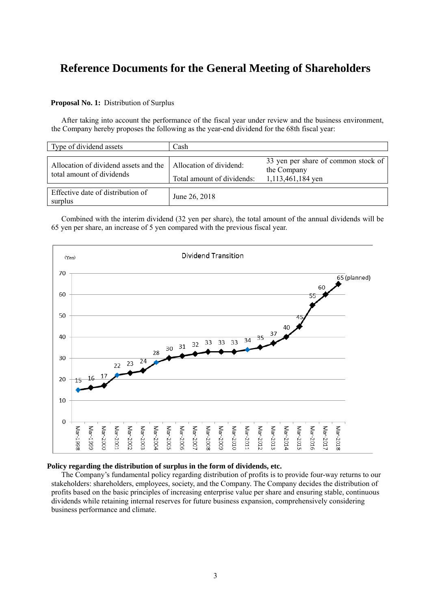# **Reference Documents for the General Meeting of Shareholders**

#### **Proposal No. 1:** Distribution of Surplus

After taking into account the performance of the fiscal year under review and the business environment, the Company hereby proposes the following as the year-end dividend for the 68th fiscal year:

| Type of dividend assets                                            | Cash                                                  |                                                                         |
|--------------------------------------------------------------------|-------------------------------------------------------|-------------------------------------------------------------------------|
| Allocation of dividend assets and the<br>total amount of dividends | Allocation of dividend:<br>Total amount of dividends: | 33 yen per share of common stock of<br>the Company<br>1,113,461,184 yen |
| Effective date of distribution of<br>surplus                       | June 26, 2018                                         |                                                                         |

Combined with the interim dividend (32 yen per share), the total amount of the annual dividends will be 65 yen per share, an increase of 5 yen compared with the previous fiscal year.



# **Policy regarding the distribution of surplus in the form of dividends, etc.**

The Company's fundamental policy regarding distribution of profits is to provide four-way returns to our stakeholders: shareholders, employees, society, and the Company. The Company decides the distribution of profits based on the basic principles of increasing enterprise value per share and ensuring stable, continuous dividends while retaining internal reserves for future business expansion, comprehensively considering business performance and climate.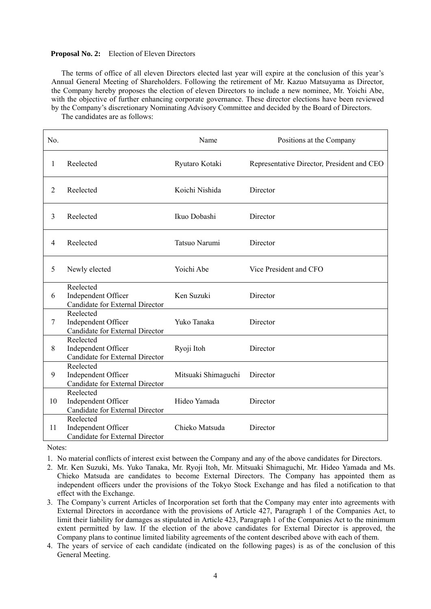#### **Proposal No. 2:** Election of Eleven Directors

The terms of office of all eleven Directors elected last year will expire at the conclusion of this year's Annual General Meeting of Shareholders. Following the retirement of Mr. Kazuo Matsuyama as Director, the Company hereby proposes the election of eleven Directors to include a new nominee, Mr. Yoichi Abe, with the objective of further enhancing corporate governance. These director elections have been reviewed by the Company's discretionary Nominating Advisory Committee and decided by the Board of Directors.

The candidates are as follows:

| No.            |                                                                     | Name                | Positions at the Company                   |
|----------------|---------------------------------------------------------------------|---------------------|--------------------------------------------|
| 1              | Reelected                                                           | Ryutaro Kotaki      | Representative Director, President and CEO |
| $\overline{2}$ | Reelected                                                           | Koichi Nishida      | Director                                   |
| 3              | Reelected                                                           | Ikuo Dobashi        | Director                                   |
| $\overline{4}$ | Reelected                                                           | Tatsuo Narumi       | Director                                   |
| 5              | Newly elected                                                       | Yoichi Abe          | Vice President and CFO                     |
| 6              | Reelected<br>Independent Officer<br>Candidate for External Director | Ken Suzuki          | Director                                   |
| 7              | Reelected<br>Independent Officer<br>Candidate for External Director | Yuko Tanaka         | Director                                   |
| 8              | Reelected<br>Independent Officer<br>Candidate for External Director | Ryoji Itoh          | Director                                   |
| 9              | Reelected<br>Independent Officer<br>Candidate for External Director | Mitsuaki Shimaguchi | Director                                   |
| 10             | Reelected<br>Independent Officer<br>Candidate for External Director | Hideo Yamada        | Director                                   |
| 11             | Reelected<br>Independent Officer<br>Candidate for External Director | Chieko Matsuda      | Director                                   |

Notes:

- 1. No material conflicts of interest exist between the Company and any of the above candidates for Directors.
- 2. Mr. Ken Suzuki, Ms. Yuko Tanaka, Mr. Ryoji Itoh, Mr. Mitsuaki Shimaguchi, Mr. Hideo Yamada and Ms. Chieko Matsuda are candidates to become External Directors. The Company has appointed them as independent officers under the provisions of the Tokyo Stock Exchange and has filed a notification to that effect with the Exchange.
- 3. The Company's current Articles of Incorporation set forth that the Company may enter into agreements with External Directors in accordance with the provisions of Article 427, Paragraph 1 of the Companies Act, to limit their liability for damages as stipulated in Article 423, Paragraph 1 of the Companies Act to the minimum extent permitted by law. If the election of the above candidates for External Director is approved, the Company plans to continue limited liability agreements of the content described above with each of them.
- 4. The years of service of each candidate (indicated on the following pages) is as of the conclusion of this General Meeting.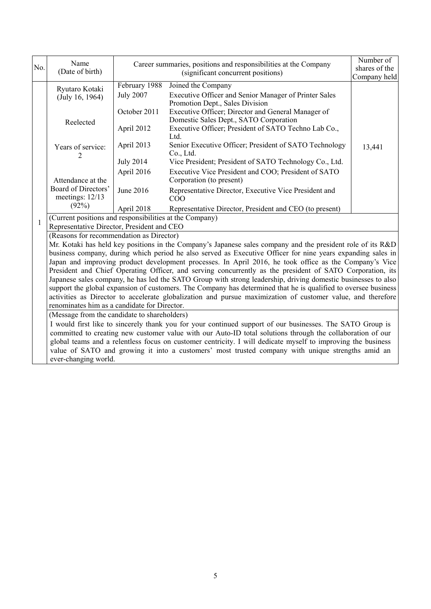|              | Name                                                                                                                                                                                                                       |                                   | Career summaries, positions and responsibilities at the Company                                                | Number of     |  |  |
|--------------|----------------------------------------------------------------------------------------------------------------------------------------------------------------------------------------------------------------------------|-----------------------------------|----------------------------------------------------------------------------------------------------------------|---------------|--|--|
| No.          | (Date of birth)                                                                                                                                                                                                            |                                   | (significant concurrent positions)                                                                             | shares of the |  |  |
|              |                                                                                                                                                                                                                            |                                   |                                                                                                                | Company held  |  |  |
|              | Ryutaro Kotaki<br>(July 16, 1964)                                                                                                                                                                                          | February 1988<br><b>July 2007</b> | Joined the Company<br>Executive Officer and Senior Manager of Printer Sales<br>Promotion Dept., Sales Division |               |  |  |
|              | Reelected                                                                                                                                                                                                                  | October 2011                      | Executive Officer; Director and General Manager of<br>Domestic Sales Dept., SATO Corporation                   |               |  |  |
|              |                                                                                                                                                                                                                            | April 2012                        | Executive Officer; President of SATO Techno Lab Co.,<br>Ltd.                                                   |               |  |  |
|              | Years of service:<br>2                                                                                                                                                                                                     | April 2013                        | Senior Executive Officer; President of SATO Technology<br>Co., Ltd.                                            | 13,441        |  |  |
|              |                                                                                                                                                                                                                            | <b>July 2014</b>                  | Vice President; President of SATO Technology Co., Ltd.                                                         |               |  |  |
|              | Attendance at the                                                                                                                                                                                                          | April 2016                        | Executive Vice President and COO; President of SATO<br>Corporation (to present)                                |               |  |  |
|              | Board of Directors'<br>meetings: 12/13                                                                                                                                                                                     | June 2016                         | Representative Director, Executive Vice President and<br>COO                                                   |               |  |  |
|              | (92%)                                                                                                                                                                                                                      | April 2018                        | Representative Director, President and CEO (to present)                                                        |               |  |  |
| $\mathbf{1}$ | (Current positions and responsibilities at the Company)                                                                                                                                                                    |                                   |                                                                                                                |               |  |  |
|              | Representative Director, President and CEO                                                                                                                                                                                 |                                   |                                                                                                                |               |  |  |
|              | (Reasons for recommendation as Director)                                                                                                                                                                                   |                                   |                                                                                                                |               |  |  |
|              | Mr. Kotaki has held key positions in the Company's Japanese sales company and the president role of its R&D<br>business company, during which period he also served as Executive Officer for nine years expanding sales in |                                   |                                                                                                                |               |  |  |
|              | Japan and improving product development processes. In April 2016, he took office as the Company's Vice                                                                                                                     |                                   |                                                                                                                |               |  |  |
|              | President and Chief Operating Officer, and serving concurrently as the president of SATO Corporation, its                                                                                                                  |                                   |                                                                                                                |               |  |  |
|              | Japanese sales company, he has led the SATO Group with strong leadership, driving domestic businesses to also                                                                                                              |                                   |                                                                                                                |               |  |  |
|              |                                                                                                                                                                                                                            |                                   | support the global expansion of customers. The Company has determined that he is qualified to oversee business |               |  |  |
|              | activities as Director to accelerate globalization and pursue maximization of customer value, and therefore                                                                                                                |                                   |                                                                                                                |               |  |  |
|              | renominates him as a candidate for Director.                                                                                                                                                                               |                                   |                                                                                                                |               |  |  |
|              | (Message from the candidate to shareholders)                                                                                                                                                                               |                                   |                                                                                                                |               |  |  |
|              | I would first like to sincerely thank you for your continued support of our businesses. The SATO Group is<br>committed to creating new customer value with our Auto-ID total solutions through the collaboration of our    |                                   |                                                                                                                |               |  |  |
|              |                                                                                                                                                                                                                            |                                   | global teams and a relentless focus on customer centricity. I will dedicate myself to improving the business   |               |  |  |
|              |                                                                                                                                                                                                                            |                                   | value of SATO and growing it into a customers' most trusted company with unique strengths amid an              |               |  |  |
|              | ever-changing world.                                                                                                                                                                                                       |                                   |                                                                                                                |               |  |  |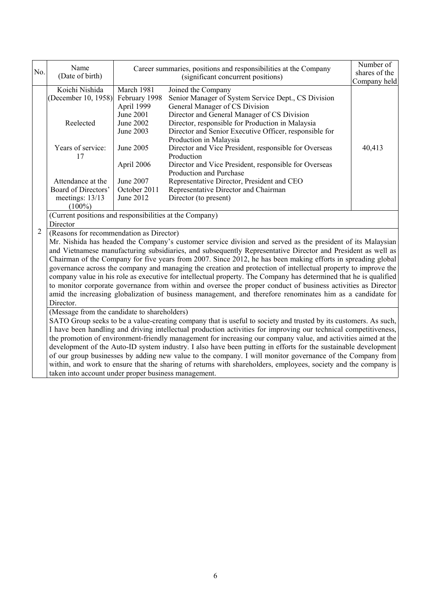|                | Name                                                                                                                                                                                                                                 |                                                                                                                                                                                                                             | Career summaries, positions and responsibilities at the Company                                                 | Number of     |  |  |  |
|----------------|--------------------------------------------------------------------------------------------------------------------------------------------------------------------------------------------------------------------------------------|-----------------------------------------------------------------------------------------------------------------------------------------------------------------------------------------------------------------------------|-----------------------------------------------------------------------------------------------------------------|---------------|--|--|--|
| No.            | (Date of birth)                                                                                                                                                                                                                      |                                                                                                                                                                                                                             | (significant concurrent positions)                                                                              | shares of the |  |  |  |
|                | Koichi Nishida                                                                                                                                                                                                                       | March 1981                                                                                                                                                                                                                  |                                                                                                                 | Company held  |  |  |  |
|                | (December 10, 1958)                                                                                                                                                                                                                  | February 1998                                                                                                                                                                                                               | Joined the Company<br>Senior Manager of System Service Dept., CS Division                                       |               |  |  |  |
|                |                                                                                                                                                                                                                                      | April 1999                                                                                                                                                                                                                  | General Manager of CS Division                                                                                  |               |  |  |  |
|                |                                                                                                                                                                                                                                      | <b>June 2001</b>                                                                                                                                                                                                            | Director and General Manager of CS Division                                                                     |               |  |  |  |
|                | Reelected                                                                                                                                                                                                                            | June 2002                                                                                                                                                                                                                   | Director, responsible for Production in Malaysia                                                                |               |  |  |  |
|                |                                                                                                                                                                                                                                      | June 2003                                                                                                                                                                                                                   | Director and Senior Executive Officer, responsible for                                                          |               |  |  |  |
|                |                                                                                                                                                                                                                                      |                                                                                                                                                                                                                             | Production in Malaysia                                                                                          |               |  |  |  |
|                | Years of service:<br>17                                                                                                                                                                                                              | June 2005                                                                                                                                                                                                                   | Director and Vice President, responsible for Overseas<br>Production                                             | 40,413        |  |  |  |
|                |                                                                                                                                                                                                                                      | April 2006                                                                                                                                                                                                                  | Director and Vice President, responsible for Overseas<br>Production and Purchase                                |               |  |  |  |
|                | Attendance at the                                                                                                                                                                                                                    | June 2007                                                                                                                                                                                                                   | Representative Director, President and CEO                                                                      |               |  |  |  |
|                | Board of Directors'                                                                                                                                                                                                                  | October 2011                                                                                                                                                                                                                | Representative Director and Chairman                                                                            |               |  |  |  |
|                | meetings: 13/13                                                                                                                                                                                                                      | June 2012                                                                                                                                                                                                                   | Director (to present)                                                                                           |               |  |  |  |
|                | $(100\%)$                                                                                                                                                                                                                            |                                                                                                                                                                                                                             |                                                                                                                 |               |  |  |  |
|                | (Current positions and responsibilities at the Company)                                                                                                                                                                              |                                                                                                                                                                                                                             |                                                                                                                 |               |  |  |  |
|                | Director                                                                                                                                                                                                                             |                                                                                                                                                                                                                             |                                                                                                                 |               |  |  |  |
| $\overline{c}$ | (Reasons for recommendation as Director)                                                                                                                                                                                             |                                                                                                                                                                                                                             |                                                                                                                 |               |  |  |  |
|                |                                                                                                                                                                                                                                      | Mr. Nishida has headed the Company's customer service division and served as the president of its Malaysian                                                                                                                 |                                                                                                                 |               |  |  |  |
|                |                                                                                                                                                                                                                                      |                                                                                                                                                                                                                             | and Vietnamese manufacturing subsidiaries, and subsequently Representative Director and President as well as    |               |  |  |  |
|                |                                                                                                                                                                                                                                      | Chairman of the Company for five years from 2007. Since 2012, he has been making efforts in spreading global                                                                                                                |                                                                                                                 |               |  |  |  |
|                | governance across the company and managing the creation and protection of intellectual property to improve the                                                                                                                       |                                                                                                                                                                                                                             |                                                                                                                 |               |  |  |  |
|                | company value in his role as executive for intellectual property. The Company has determined that he is qualified                                                                                                                    |                                                                                                                                                                                                                             |                                                                                                                 |               |  |  |  |
|                |                                                                                                                                                                                                                                      | to monitor corporate governance from within and oversee the proper conduct of business activities as Director<br>amid the increasing globalization of business management, and therefore renominates him as a candidate for |                                                                                                                 |               |  |  |  |
|                | Director.                                                                                                                                                                                                                            |                                                                                                                                                                                                                             |                                                                                                                 |               |  |  |  |
|                | (Message from the candidate to shareholders)                                                                                                                                                                                         |                                                                                                                                                                                                                             |                                                                                                                 |               |  |  |  |
|                |                                                                                                                                                                                                                                      |                                                                                                                                                                                                                             |                                                                                                                 |               |  |  |  |
|                | SATO Group seeks to be a value-creating company that is useful to society and trusted by its customers. As such,<br>I have been handling and driving intellectual production activities for improving our technical competitiveness, |                                                                                                                                                                                                                             |                                                                                                                 |               |  |  |  |
|                | the promotion of environment-friendly management for increasing our company value, and activities aimed at the                                                                                                                       |                                                                                                                                                                                                                             |                                                                                                                 |               |  |  |  |
|                | development of the Auto-ID system industry. I also have been putting in efforts for the sustainable development                                                                                                                      |                                                                                                                                                                                                                             |                                                                                                                 |               |  |  |  |
|                |                                                                                                                                                                                                                                      |                                                                                                                                                                                                                             | of our group businesses by adding new value to the company. I will monitor governance of the Company from       |               |  |  |  |
|                |                                                                                                                                                                                                                                      |                                                                                                                                                                                                                             | within, and work to ensure that the sharing of returns with shareholders, employees, society and the company is |               |  |  |  |
|                | taken into account under proper business management.                                                                                                                                                                                 |                                                                                                                                                                                                                             |                                                                                                                 |               |  |  |  |
|                |                                                                                                                                                                                                                                      |                                                                                                                                                                                                                             |                                                                                                                 |               |  |  |  |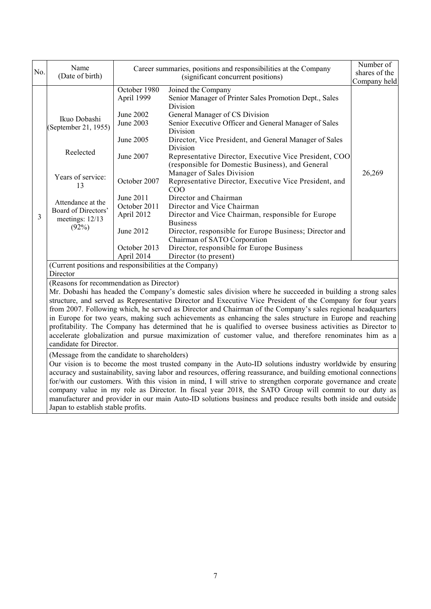| No. | Name<br>(Date of birth)                                                                                                                                                                                                            |                            | Career summaries, positions and responsibilities at the Company<br>(significant concurrent positions)                            | Number of<br>shares of the<br>Company held |  |  |
|-----|------------------------------------------------------------------------------------------------------------------------------------------------------------------------------------------------------------------------------------|----------------------------|----------------------------------------------------------------------------------------------------------------------------------|--------------------------------------------|--|--|
|     |                                                                                                                                                                                                                                    | October 1980<br>April 1999 | Joined the Company<br>Senior Manager of Printer Sales Promotion Dept., Sales<br>Division                                         |                                            |  |  |
|     | Ikuo Dobashi<br>(September 21, 1955)                                                                                                                                                                                               | June 2002<br>June 2003     | General Manager of CS Division<br>Senior Executive Officer and General Manager of Sales<br>Division                              |                                            |  |  |
|     | Reelected                                                                                                                                                                                                                          | June 2005                  | Director, Vice President, and General Manager of Sales<br>Division                                                               |                                            |  |  |
|     |                                                                                                                                                                                                                                    | June 2007                  | Representative Director, Executive Vice President, COO<br>(responsible for Domestic Business), and General                       |                                            |  |  |
|     | Years of service:<br>13                                                                                                                                                                                                            | October 2007               | Manager of Sales Division<br>Representative Director, Executive Vice President, and<br>COO                                       | 26,269                                     |  |  |
|     | Attendance at the<br>Board of Directors'                                                                                                                                                                                           | June 2011<br>October 2011  | Director and Chairman<br>Director and Vice Chairman                                                                              |                                            |  |  |
| 3   | meetings: 12/13<br>(92%)                                                                                                                                                                                                           | April 2012<br>June 2012    | Director and Vice Chairman, responsible for Europe<br><b>Business</b><br>Director, responsible for Europe Business; Director and |                                            |  |  |
|     |                                                                                                                                                                                                                                    | October 2013               | Chairman of SATO Corporation<br>Director, responsible for Europe Business                                                        |                                            |  |  |
|     | April 2014<br>Director (to present)<br>(Current positions and responsibilities at the Company)                                                                                                                                     |                            |                                                                                                                                  |                                            |  |  |
|     | Director                                                                                                                                                                                                                           |                            |                                                                                                                                  |                                            |  |  |
|     | (Reasons for recommendation as Director)                                                                                                                                                                                           |                            | Mr. Dobashi has headed the Company's domestic sales division where he succeeded in building a strong sales                       |                                            |  |  |
|     |                                                                                                                                                                                                                                    |                            | structure, and served as Representative Director and Executive Vice President of the Company for four years                      |                                            |  |  |
|     |                                                                                                                                                                                                                                    |                            | from 2007. Following which, he served as Director and Chairman of the Company's sales regional headquarters                      |                                            |  |  |
|     | in Europe for two years, making such achievements as enhancing the sales structure in Europe and reaching                                                                                                                          |                            |                                                                                                                                  |                                            |  |  |
|     | profitability. The Company has determined that he is qualified to oversee business activities as Director to                                                                                                                       |                            |                                                                                                                                  |                                            |  |  |
|     | accelerate globalization and pursue maximization of customer value, and therefore renominates him as a<br>candidate for Director.                                                                                                  |                            |                                                                                                                                  |                                            |  |  |
|     | (Message from the candidate to shareholders)                                                                                                                                                                                       |                            |                                                                                                                                  |                                            |  |  |
|     | Our vision is to become the most trusted company in the Auto-ID solutions industry worldwide by ensuring                                                                                                                           |                            |                                                                                                                                  |                                            |  |  |
|     | accuracy and sustainability, saving labor and resources, offering reassurance, and building emotional connections<br>for/with our customers. With this vision in mind, I will strive to strengthen corporate governance and create |                            |                                                                                                                                  |                                            |  |  |
|     |                                                                                                                                                                                                                                    |                            | company value in my role as Director. In fiscal year 2018, the SATO Group will commit to our duty as                             |                                            |  |  |
|     | Japan to establish stable profits.                                                                                                                                                                                                 |                            | manufacturer and provider in our main Auto-ID solutions business and produce results both inside and outside                     |                                            |  |  |
|     |                                                                                                                                                                                                                                    |                            |                                                                                                                                  |                                            |  |  |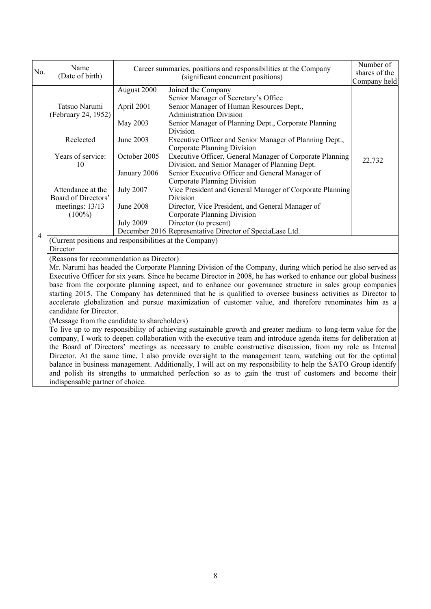|                | Name                                                                                                                                                                                                                                                                                                                                                                                                                                                                                                                                                                                                                                                                                                                                                                      |                                       | Career summaries, positions and responsibilities at the Company                                                                                                                                  | Number of                     |  |  |  |
|----------------|---------------------------------------------------------------------------------------------------------------------------------------------------------------------------------------------------------------------------------------------------------------------------------------------------------------------------------------------------------------------------------------------------------------------------------------------------------------------------------------------------------------------------------------------------------------------------------------------------------------------------------------------------------------------------------------------------------------------------------------------------------------------------|---------------------------------------|--------------------------------------------------------------------------------------------------------------------------------------------------------------------------------------------------|-------------------------------|--|--|--|
| No.            | (Date of birth)                                                                                                                                                                                                                                                                                                                                                                                                                                                                                                                                                                                                                                                                                                                                                           |                                       | (significant concurrent positions)                                                                                                                                                               | shares of the<br>Company held |  |  |  |
|                | Tatsuo Narumi<br>(February 24, 1952)                                                                                                                                                                                                                                                                                                                                                                                                                                                                                                                                                                                                                                                                                                                                      | August 2000<br>April 2001<br>May 2003 | Joined the Company<br>Senior Manager of Secretary's Office<br>Senior Manager of Human Resources Dept.,<br><b>Administration Division</b><br>Senior Manager of Planning Dept., Corporate Planning |                               |  |  |  |
|                | Reelected                                                                                                                                                                                                                                                                                                                                                                                                                                                                                                                                                                                                                                                                                                                                                                 | June 2003                             | Division<br>Executive Officer and Senior Manager of Planning Dept.,<br>Corporate Planning Division                                                                                               |                               |  |  |  |
|                | Years of service:<br>10                                                                                                                                                                                                                                                                                                                                                                                                                                                                                                                                                                                                                                                                                                                                                   | October 2005                          | Executive Officer, General Manager of Corporate Planning<br>Division, and Senior Manager of Planning Dept.<br>Senior Executive Officer and General Manager of                                    | 22,732                        |  |  |  |
|                |                                                                                                                                                                                                                                                                                                                                                                                                                                                                                                                                                                                                                                                                                                                                                                           | January 2006                          | Corporate Planning Division                                                                                                                                                                      |                               |  |  |  |
|                | Attendance at the<br>Board of Directors'                                                                                                                                                                                                                                                                                                                                                                                                                                                                                                                                                                                                                                                                                                                                  | <b>July 2007</b>                      | Vice President and General Manager of Corporate Planning<br>Division                                                                                                                             |                               |  |  |  |
|                | meetings: 13/13<br>$(100\%)$                                                                                                                                                                                                                                                                                                                                                                                                                                                                                                                                                                                                                                                                                                                                              | June 2008                             | Director, Vice President, and General Manager of<br>Corporate Planning Division                                                                                                                  |                               |  |  |  |
|                |                                                                                                                                                                                                                                                                                                                                                                                                                                                                                                                                                                                                                                                                                                                                                                           | <b>July 2009</b>                      | Director (to present)<br>December 2016 Representative Director of SpeciaLase Ltd.                                                                                                                |                               |  |  |  |
| $\overline{4}$ | (Current positions and responsibilities at the Company)                                                                                                                                                                                                                                                                                                                                                                                                                                                                                                                                                                                                                                                                                                                   |                                       |                                                                                                                                                                                                  |                               |  |  |  |
|                | Director                                                                                                                                                                                                                                                                                                                                                                                                                                                                                                                                                                                                                                                                                                                                                                  |                                       |                                                                                                                                                                                                  |                               |  |  |  |
|                | (Reasons for recommendation as Director)<br>Mr. Narumi has headed the Corporate Planning Division of the Company, during which period he also served as<br>Executive Officer for six years. Since he became Director in 2008, he has worked to enhance our global business<br>base from the corporate planning aspect, and to enhance our governance structure in sales group companies<br>starting 2015. The Company has determined that he is qualified to oversee business activities as Director to<br>accelerate globalization and pursue maximization of customer value, and therefore renominates him as a<br>candidate for Director.                                                                                                                              |                                       |                                                                                                                                                                                                  |                               |  |  |  |
|                | (Message from the candidate to shareholders)<br>To live up to my responsibility of achieving sustainable growth and greater medium- to long-term value for the<br>company, I work to deepen collaboration with the executive team and introduce agenda items for deliberation at<br>the Board of Directors' meetings as necessary to enable constructive discussion, from my role as Internal<br>Director. At the same time, I also provide oversight to the management team, watching out for the optimal<br>balance in business management. Additionally, I will act on my responsibility to help the SATO Group identify<br>and polish its strengths to unmatched perfection so as to gain the trust of customers and become their<br>indispensable partner of choice. |                                       |                                                                                                                                                                                                  |                               |  |  |  |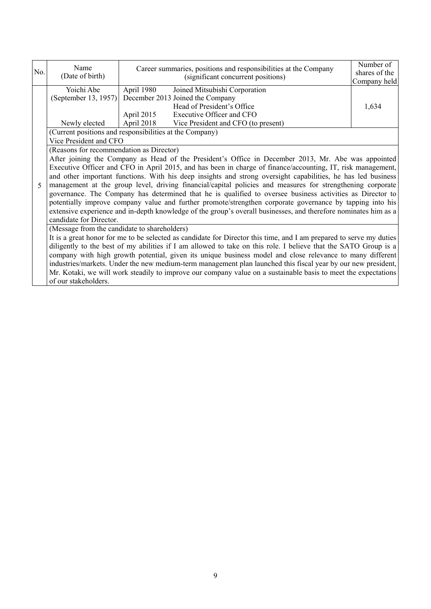| No.         | Name<br>(Date of birth)                                              | Career summaries, positions and responsibilities at the Company<br>(significant concurrent positions)                                                                                                                                                                                                                                                                                                                                                                                                                                                                                                                                                                                                                                                                                         | Number of<br>shares of the<br>Company held |
|-------------|----------------------------------------------------------------------|-----------------------------------------------------------------------------------------------------------------------------------------------------------------------------------------------------------------------------------------------------------------------------------------------------------------------------------------------------------------------------------------------------------------------------------------------------------------------------------------------------------------------------------------------------------------------------------------------------------------------------------------------------------------------------------------------------------------------------------------------------------------------------------------------|--------------------------------------------|
|             | Yoichi Abe<br>(September 13, 1957)<br>Newly elected                  | April 1980<br>Joined Mitsubishi Corporation<br>December 2013 Joined the Company<br>Head of President's Office<br>Executive Officer and CFO<br>April 2015<br>April 2018<br>Vice President and CFO (to present)                                                                                                                                                                                                                                                                                                                                                                                                                                                                                                                                                                                 | 1,634                                      |
|             | Vice President and CFO                                               | (Current positions and responsibilities at the Company)                                                                                                                                                                                                                                                                                                                                                                                                                                                                                                                                                                                                                                                                                                                                       |                                            |
|             | (Reasons for recommendation as Director)                             |                                                                                                                                                                                                                                                                                                                                                                                                                                                                                                                                                                                                                                                                                                                                                                                               |                                            |
| $\varsigma$ | candidate for Director.                                              | After joining the Company as Head of the President's Office in December 2013, Mr. Abe was appointed<br>Executive Officer and CFO in April 2015, and has been in charge of finance/accounting, IT, risk management,<br>and other important functions. With his deep insights and strong oversight capabilities, he has led business<br>management at the group level, driving financial/capital policies and measures for strengthening corporate<br>governance. The Company has determined that he is qualified to oversee business activities as Director to<br>potentially improve company value and further promote/strengthen corporate governance by tapping into his<br>extensive experience and in-depth knowledge of the group's overall businesses, and therefore nominates him as a |                                            |
|             | (Message from the candidate to shareholders)<br>of our stakeholders. | It is a great honor for me to be selected as candidate for Director this time, and I am prepared to serve my duties<br>diligently to the best of my abilities if I am allowed to take on this role. I believe that the SATO Group is a<br>company with high growth potential, given its unique business model and close relevance to many different<br>industries/markets. Under the new medium-term management plan launched this fiscal year by our new president,<br>Mr. Kotaki, we will work steadily to improve our company value on a sustainable basis to meet the expectations                                                                                                                                                                                                        |                                            |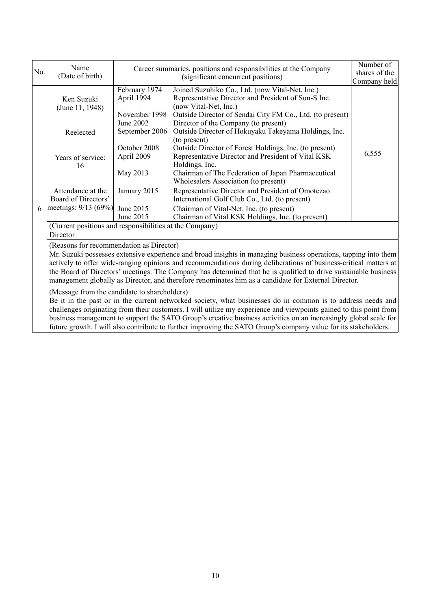| No.                                                                                                                                                                                                                                                                                                                                                                                                                                                                                                                      | Name<br>(Date of birth)                                                                                                                                                                                                                                                                                                                                                                                                                                                                                    |                                                                                                                                       | Career summaries, positions and responsibilities at the Company<br>shares of the<br>(significant concurrent positions)                                                                                                                                                                                                                                                                                                                                                                                                                                                                                                                              |                       |  |  |
|--------------------------------------------------------------------------------------------------------------------------------------------------------------------------------------------------------------------------------------------------------------------------------------------------------------------------------------------------------------------------------------------------------------------------------------------------------------------------------------------------------------------------|------------------------------------------------------------------------------------------------------------------------------------------------------------------------------------------------------------------------------------------------------------------------------------------------------------------------------------------------------------------------------------------------------------------------------------------------------------------------------------------------------------|---------------------------------------------------------------------------------------------------------------------------------------|-----------------------------------------------------------------------------------------------------------------------------------------------------------------------------------------------------------------------------------------------------------------------------------------------------------------------------------------------------------------------------------------------------------------------------------------------------------------------------------------------------------------------------------------------------------------------------------------------------------------------------------------------------|-----------------------|--|--|
|                                                                                                                                                                                                                                                                                                                                                                                                                                                                                                                          | Ken Suzuki<br>(June 11, 1948)<br>Reelected<br>Years of service:<br>16<br>Attendance at the<br>Board of Directors'                                                                                                                                                                                                                                                                                                                                                                                          | February 1974<br>April 1994<br>November 1998<br>June 2002<br>September 2006<br>October 2008<br>April 2009<br>May 2013<br>January 2015 | Joined Suzuhiko Co., Ltd. (now Vital-Net, Inc.)<br>Representative Director and President of Sun-S Inc.<br>(now Vital-Net, Inc.)<br>Outside Director of Sendai City FM Co., Ltd. (to present)<br>Director of the Company (to present)<br>Outside Director of Hokuyaku Takeyama Holdings, Inc.<br>(to present)<br>Outside Director of Forest Holdings, Inc. (to present)<br>Representative Director and President of Vital KSK<br>Holdings, Inc.<br>Chairman of The Federation of Japan Pharmaceutical<br>Wholesalers Association (to present)<br>Representative Director and President of Omotezao<br>International Golf Club Co., Ltd. (to present) | Company held<br>6,555 |  |  |
| 6                                                                                                                                                                                                                                                                                                                                                                                                                                                                                                                        | meetings: 9/13 (69%) June 2015                                                                                                                                                                                                                                                                                                                                                                                                                                                                             | June 2015                                                                                                                             | Chairman of Vital-Net, Inc. (to present)<br>Chairman of Vital KSK Holdings, Inc. (to present)                                                                                                                                                                                                                                                                                                                                                                                                                                                                                                                                                       |                       |  |  |
|                                                                                                                                                                                                                                                                                                                                                                                                                                                                                                                          | (Current positions and responsibilities at the Company)<br>Director                                                                                                                                                                                                                                                                                                                                                                                                                                        |                                                                                                                                       |                                                                                                                                                                                                                                                                                                                                                                                                                                                                                                                                                                                                                                                     |                       |  |  |
|                                                                                                                                                                                                                                                                                                                                                                                                                                                                                                                          | (Reasons for recommendation as Director)<br>Mr. Suzuki possesses extensive experience and broad insights in managing business operations, tapping into them<br>actively to offer wide-ranging opinions and recommendations during deliberations of business-critical matters at<br>the Board of Directors' meetings. The Company has determined that he is qualified to drive sustainable business<br>management globally as Director, and therefore renominates him as a candidate for External Director. |                                                                                                                                       |                                                                                                                                                                                                                                                                                                                                                                                                                                                                                                                                                                                                                                                     |                       |  |  |
| (Message from the candidate to shareholders)<br>Be it in the past or in the current networked society, what businesses do in common is to address needs and<br>challenges originating from their customers. I will utilize my experience and viewpoints gained to this point from<br>business management to support the SATO Group's creative business activities on an increasingly global scale for<br>future growth. I will also contribute to further improving the SATO Group's company value for its stakeholders. |                                                                                                                                                                                                                                                                                                                                                                                                                                                                                                            |                                                                                                                                       |                                                                                                                                                                                                                                                                                                                                                                                                                                                                                                                                                                                                                                                     |                       |  |  |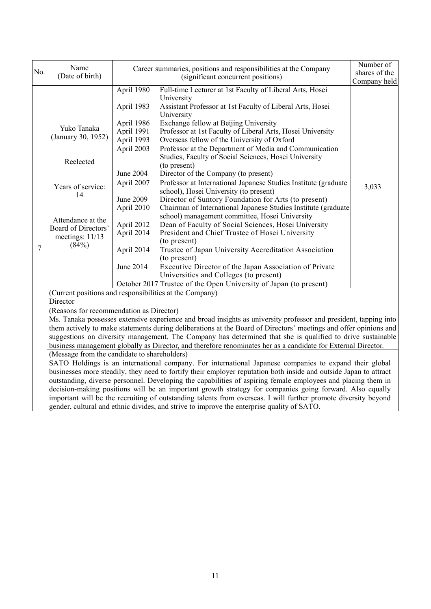|     | Name                                                                                                                                                                                                                        |                                                                                                                                                                                                      |                                                                                                                                                                                                                                                                                                                                                                                                                                                                                                                                                                                                                                                                                                                                                                                                                                                                                                                                                                                                                                                                                                                                                          | Number of     |  |
|-----|-----------------------------------------------------------------------------------------------------------------------------------------------------------------------------------------------------------------------------|------------------------------------------------------------------------------------------------------------------------------------------------------------------------------------------------------|----------------------------------------------------------------------------------------------------------------------------------------------------------------------------------------------------------------------------------------------------------------------------------------------------------------------------------------------------------------------------------------------------------------------------------------------------------------------------------------------------------------------------------------------------------------------------------------------------------------------------------------------------------------------------------------------------------------------------------------------------------------------------------------------------------------------------------------------------------------------------------------------------------------------------------------------------------------------------------------------------------------------------------------------------------------------------------------------------------------------------------------------------------|---------------|--|
| No. | (Date of birth)                                                                                                                                                                                                             |                                                                                                                                                                                                      | Career summaries, positions and responsibilities at the Company<br>(significant concurrent positions)                                                                                                                                                                                                                                                                                                                                                                                                                                                                                                                                                                                                                                                                                                                                                                                                                                                                                                                                                                                                                                                    | shares of the |  |
|     |                                                                                                                                                                                                                             |                                                                                                                                                                                                      |                                                                                                                                                                                                                                                                                                                                                                                                                                                                                                                                                                                                                                                                                                                                                                                                                                                                                                                                                                                                                                                                                                                                                          | Company held  |  |
| 7   | Yuko Tanaka<br>(January 30, 1952)<br>Reelected<br>Years of service:<br>14<br>Attendance at the<br>Board of Directors'<br>meetings: 11/13<br>(84%)                                                                           | April 1980<br>April 1983<br>April 1986<br>April 1991<br>April 1993<br>April 2003<br><b>June 2004</b><br>April 2007<br>June 2009<br>April 2010<br>April 2012<br>April 2014<br>April 2014<br>June 2014 | Full-time Lecturer at 1st Faculty of Liberal Arts, Hosei<br>University<br>Assistant Professor at 1st Faculty of Liberal Arts, Hosei<br>University<br>Exchange fellow at Beijing University<br>Professor at 1st Faculty of Liberal Arts, Hosei University<br>Overseas fellow of the University of Oxford<br>Professor at the Department of Media and Communication<br>Studies, Faculty of Social Sciences, Hosei University<br>(to present)<br>Director of the Company (to present)<br>Professor at International Japanese Studies Institute (graduate<br>school), Hosei University (to present)<br>Director of Suntory Foundation for Arts (to present)<br>Chairman of International Japanese Studies Institute (graduate<br>school) management committee, Hosei University<br>Dean of Faculty of Social Sciences, Hosei University<br>President and Chief Trustee of Hosei University<br>(to present)<br>Trustee of Japan University Accreditation Association<br>(to present)<br>Executive Director of the Japan Association of Private<br>Universities and Colleges (to present)<br>October 2017 Trustee of the Open University of Japan (to present) | 3,033         |  |
|     | (Current positions and responsibilities at the Company)                                                                                                                                                                     |                                                                                                                                                                                                      |                                                                                                                                                                                                                                                                                                                                                                                                                                                                                                                                                                                                                                                                                                                                                                                                                                                                                                                                                                                                                                                                                                                                                          |               |  |
|     | Director                                                                                                                                                                                                                    |                                                                                                                                                                                                      |                                                                                                                                                                                                                                                                                                                                                                                                                                                                                                                                                                                                                                                                                                                                                                                                                                                                                                                                                                                                                                                                                                                                                          |               |  |
|     | (Reasons for recommendation as Director)                                                                                                                                                                                    |                                                                                                                                                                                                      | Ms. Tanaka possesses extensive experience and broad insights as university professor and president, tapping into<br>them actively to make statements during deliberations at the Board of Directors' meetings and offer opinions and<br>suggestions on diversity management. The Company has determined that she is qualified to drive sustainable<br>business management globally as Director, and therefore renominates her as a candidate for External Director.                                                                                                                                                                                                                                                                                                                                                                                                                                                                                                                                                                                                                                                                                      |               |  |
|     | (Message from the candidate to shareholders)                                                                                                                                                                                |                                                                                                                                                                                                      |                                                                                                                                                                                                                                                                                                                                                                                                                                                                                                                                                                                                                                                                                                                                                                                                                                                                                                                                                                                                                                                                                                                                                          |               |  |
|     | SATO Holdings is an international company. For international Japanese companies to expand their global<br>businesses more steadily, they need to fortify their employer reputation both inside and outside Japan to attract |                                                                                                                                                                                                      |                                                                                                                                                                                                                                                                                                                                                                                                                                                                                                                                                                                                                                                                                                                                                                                                                                                                                                                                                                                                                                                                                                                                                          |               |  |
|     |                                                                                                                                                                                                                             |                                                                                                                                                                                                      | outstanding, diverse personnel. Developing the capabilities of aspiring female employees and placing them in                                                                                                                                                                                                                                                                                                                                                                                                                                                                                                                                                                                                                                                                                                                                                                                                                                                                                                                                                                                                                                             |               |  |
|     |                                                                                                                                                                                                                             |                                                                                                                                                                                                      | decision-making positions will be an important growth strategy for companies going forward. Also equally                                                                                                                                                                                                                                                                                                                                                                                                                                                                                                                                                                                                                                                                                                                                                                                                                                                                                                                                                                                                                                                 |               |  |
|     |                                                                                                                                                                                                                             |                                                                                                                                                                                                      | important will be the recruiting of outstanding talents from overseas. I will further promote diversity beyond                                                                                                                                                                                                                                                                                                                                                                                                                                                                                                                                                                                                                                                                                                                                                                                                                                                                                                                                                                                                                                           |               |  |
|     |                                                                                                                                                                                                                             |                                                                                                                                                                                                      | gender, cultural and ethnic divides, and strive to improve the enterprise quality of SATO.                                                                                                                                                                                                                                                                                                                                                                                                                                                                                                                                                                                                                                                                                                                                                                                                                                                                                                                                                                                                                                                               |               |  |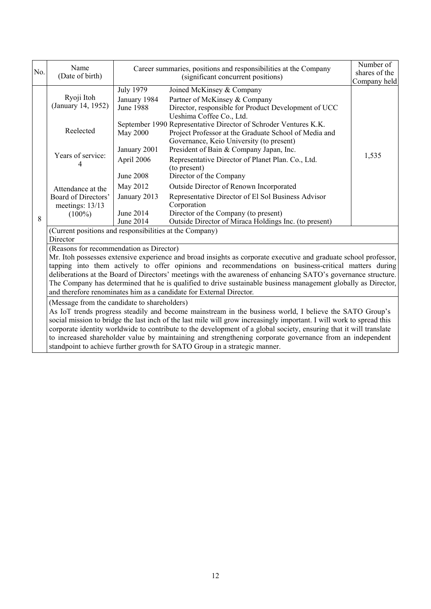| No. | Name<br>(Date of birth)                                                                                                                                                                                                                                                                                                                                                                                                                                                                                                                                                                         |                                                      | Career summaries, positions and responsibilities at the Company<br>(significant concurrent positions)                                                                                                            | Number of<br>shares of the<br>Company held |  |
|-----|-------------------------------------------------------------------------------------------------------------------------------------------------------------------------------------------------------------------------------------------------------------------------------------------------------------------------------------------------------------------------------------------------------------------------------------------------------------------------------------------------------------------------------------------------------------------------------------------------|------------------------------------------------------|------------------------------------------------------------------------------------------------------------------------------------------------------------------------------------------------------------------|--------------------------------------------|--|
|     | Ryoji Itoh<br>(January 14, 1952)                                                                                                                                                                                                                                                                                                                                                                                                                                                                                                                                                                | <b>July 1979</b><br>January 1984<br><b>June 1988</b> | Joined McKinsey & Company<br>Partner of McKinsey & Company<br>Director, responsible for Product Development of UCC<br>Ueshima Coffee Co., Ltd.                                                                   |                                            |  |
|     | Reelected<br>Years of service:                                                                                                                                                                                                                                                                                                                                                                                                                                                                                                                                                                  | May 2000<br>January 2001                             | September 1990 Representative Director of Schroder Ventures K.K.<br>Project Professor at the Graduate School of Media and<br>Governance, Keio University (to present)<br>President of Bain & Company Japan, Inc. |                                            |  |
|     |                                                                                                                                                                                                                                                                                                                                                                                                                                                                                                                                                                                                 | April 2006<br><b>June 2008</b>                       | Representative Director of Planet Plan. Co., Ltd.<br>(to present)<br>Director of the Company                                                                                                                     | 1,535                                      |  |
|     | Attendance at the<br>Board of Directors'<br>meetings: 13/13<br>$(100\%)$                                                                                                                                                                                                                                                                                                                                                                                                                                                                                                                        | May 2012                                             | Outside Director of Renown Incorporated                                                                                                                                                                          |                                            |  |
|     |                                                                                                                                                                                                                                                                                                                                                                                                                                                                                                                                                                                                 | January 2013                                         | Representative Director of El Sol Business Advisor<br>Corporation                                                                                                                                                |                                            |  |
| 8   |                                                                                                                                                                                                                                                                                                                                                                                                                                                                                                                                                                                                 | June 2014<br>June 2014                               | Director of the Company (to present)<br>Outside Director of Miraca Holdings Inc. (to present)                                                                                                                    |                                            |  |
|     | (Current positions and responsibilities at the Company)<br>Director                                                                                                                                                                                                                                                                                                                                                                                                                                                                                                                             |                                                      |                                                                                                                                                                                                                  |                                            |  |
|     | (Reasons for recommendation as Director)                                                                                                                                                                                                                                                                                                                                                                                                                                                                                                                                                        |                                                      |                                                                                                                                                                                                                  |                                            |  |
|     | Mr. Itoh possesses extensive experience and broad insights as corporate executive and graduate school professor,<br>tapping into them actively to offer opinions and recommendations on business-critical matters during<br>deliberations at the Board of Directors' meetings with the awareness of enhancing SATO's governance structure.<br>The Company has determined that he is qualified to drive sustainable business management globally as Director,<br>and therefore renominates him as a candidate for External Director.                                                             |                                                      |                                                                                                                                                                                                                  |                                            |  |
|     | (Message from the candidate to shareholders)<br>As IoT trends progress steadily and become mainstream in the business world, I believe the SATO Group's<br>social mission to bridge the last inch of the last mile will grow increasingly important. I will work to spread this<br>corporate identity worldwide to contribute to the development of a global society, ensuring that it will translate<br>to increased shareholder value by maintaining and strengthening corporate governance from an independent<br>standpoint to achieve further growth for SATO Group in a strategic manner. |                                                      |                                                                                                                                                                                                                  |                                            |  |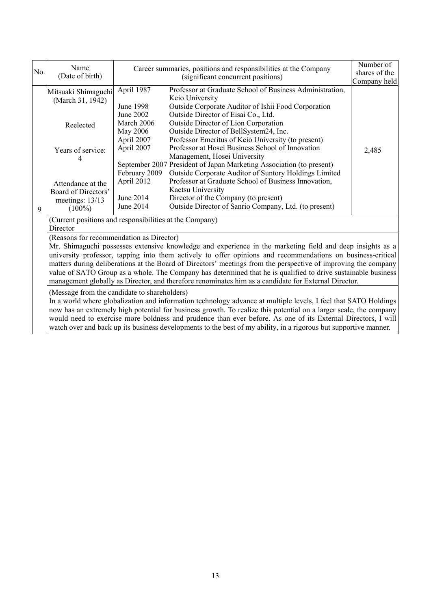| No.         | Name<br>(Date of birth)                                                                                                                                                                                                                                                                                                                                                                                                                                                                                                                                                                                         |                                                       | Career summaries, positions and responsibilities at the Company<br>(significant concurrent positions)                                                                                                                               |              |  |
|-------------|-----------------------------------------------------------------------------------------------------------------------------------------------------------------------------------------------------------------------------------------------------------------------------------------------------------------------------------------------------------------------------------------------------------------------------------------------------------------------------------------------------------------------------------------------------------------------------------------------------------------|-------------------------------------------------------|-------------------------------------------------------------------------------------------------------------------------------------------------------------------------------------------------------------------------------------|--------------|--|
|             | Mitsuaki Shimaguchi<br>(March 31, 1942)                                                                                                                                                                                                                                                                                                                                                                                                                                                                                                                                                                         | April 1987<br>June 1998                               | Professor at Graduate School of Business Administration,<br>Keio University<br>Outside Corporate Auditor of Ishii Food Corporation                                                                                                  | Company held |  |
|             | Reelected                                                                                                                                                                                                                                                                                                                                                                                                                                                                                                                                                                                                       | June 2002<br>March 2006<br>May 2006<br>April 2007     | Outside Director of Eisai Co., Ltd.<br>Outside Director of Lion Corporation<br>Outside Director of BellSystem24, Inc.<br>Professor Emeritus of Keio University (to present)                                                         |              |  |
|             | Years of service:                                                                                                                                                                                                                                                                                                                                                                                                                                                                                                                                                                                               | April 2007                                            | Professor at Hosei Business School of Innovation<br>Management, Hosei University<br>September 2007 President of Japan Marketing Association (to present)                                                                            | 2,485        |  |
| $\mathbf Q$ | Attendance at the<br>Board of Directors'<br>meetings: 13/13<br>$(100\%)$                                                                                                                                                                                                                                                                                                                                                                                                                                                                                                                                        | February 2009<br>April 2012<br>June 2014<br>June 2014 | Outside Corporate Auditor of Suntory Holdings Limited<br>Professor at Graduate School of Business Innovation,<br>Kaetsu University<br>Director of the Company (to present)<br>Outside Director of Sanrio Company, Ltd. (to present) |              |  |
|             | (Current positions and responsibilities at the Company)<br>Director                                                                                                                                                                                                                                                                                                                                                                                                                                                                                                                                             |                                                       |                                                                                                                                                                                                                                     |              |  |
|             | (Reasons for recommendation as Director)<br>Mr. Shimaguchi possesses extensive knowledge and experience in the marketing field and deep insights as a<br>university professor, tapping into them actively to offer opinions and recommendations on business-critical<br>matters during deliberations at the Board of Directors' meetings from the perspective of improving the company<br>value of SATO Group as a whole. The Company has determined that he is qualified to drive sustainable business<br>management globally as Director, and therefore renominates him as a candidate for External Director. |                                                       |                                                                                                                                                                                                                                     |              |  |
|             | (Message from the candidate to shareholders)<br>In a world where globalization and information technology advance at multiple levels, I feel that SATO Holdings<br>now has an extremely high potential for business growth. To realize this potential on a larger scale, the company<br>would need to exercise more boldness and prudence than ever before. As one of its External Directors, I will<br>watch over and back up its business developments to the best of my ability, in a rigorous but supportive manner.                                                                                        |                                                       |                                                                                                                                                                                                                                     |              |  |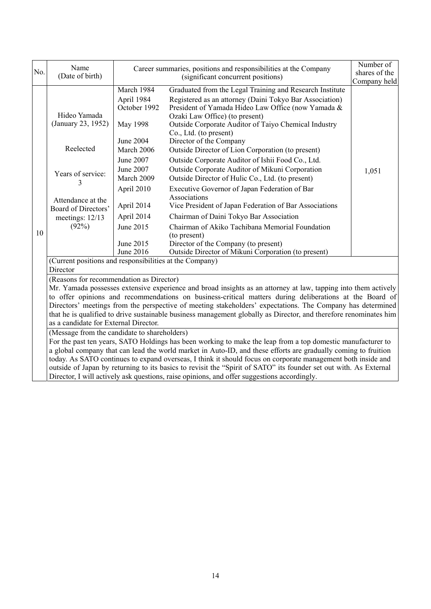| No. | Name<br>(Date of birth)                                                                                                                                                                                                                                                                                                                                                                                                                                                                                                                                                                                           | Career summaries, positions and responsibilities at the Company | Number of<br>shares of the<br>Company held                                                                                                               |       |  |
|-----|-------------------------------------------------------------------------------------------------------------------------------------------------------------------------------------------------------------------------------------------------------------------------------------------------------------------------------------------------------------------------------------------------------------------------------------------------------------------------------------------------------------------------------------------------------------------------------------------------------------------|-----------------------------------------------------------------|----------------------------------------------------------------------------------------------------------------------------------------------------------|-------|--|
|     |                                                                                                                                                                                                                                                                                                                                                                                                                                                                                                                                                                                                                   | March 1984<br>April 1984                                        | Graduated from the Legal Training and Research Institute<br>Registered as an attorney (Daini Tokyo Bar Association)                                      |       |  |
|     | Hideo Yamada<br>(January 23, 1952)                                                                                                                                                                                                                                                                                                                                                                                                                                                                                                                                                                                | October 1992<br>May 1998                                        | President of Yamada Hideo Law Office (now Yamada &<br>Ozaki Law Office) (to present)<br>Outside Corporate Auditor of Taiyo Chemical Industry             |       |  |
|     | Reelected                                                                                                                                                                                                                                                                                                                                                                                                                                                                                                                                                                                                         | <b>June 2004</b><br>March 2006                                  | Co., Ltd. (to present)<br>Director of the Company<br>Outside Director of Lion Corporation (to present)                                                   |       |  |
|     | Years of service:                                                                                                                                                                                                                                                                                                                                                                                                                                                                                                                                                                                                 | June 2007<br>June 2007<br>March 2009                            | Outside Corporate Auditor of Ishii Food Co., Ltd.<br>Outside Corporate Auditor of Mikuni Corporation<br>Outside Director of Hulic Co., Ltd. (to present) | 1,051 |  |
|     | Attendance at the<br>Board of Directors'                                                                                                                                                                                                                                                                                                                                                                                                                                                                                                                                                                          | April 2010<br>April 2014                                        | Executive Governor of Japan Federation of Bar<br>Associations<br>Vice President of Japan Federation of Bar Associations                                  |       |  |
| 10  | meetings: 12/13<br>(92%)                                                                                                                                                                                                                                                                                                                                                                                                                                                                                                                                                                                          | April 2014<br>June 2015                                         | Chairman of Daini Tokyo Bar Association<br>Chairman of Akiko Tachibana Memorial Foundation<br>(to present)                                               |       |  |
|     |                                                                                                                                                                                                                                                                                                                                                                                                                                                                                                                                                                                                                   | June 2015<br>June 2016                                          | Director of the Company (to present)<br>Outside Director of Mikuni Corporation (to present)                                                              |       |  |
|     | (Current positions and responsibilities at the Company)<br>Director                                                                                                                                                                                                                                                                                                                                                                                                                                                                                                                                               |                                                                 |                                                                                                                                                          |       |  |
|     | (Reasons for recommendation as Director)<br>Mr. Yamada possesses extensive experience and broad insights as an attorney at law, tapping into them actively<br>to offer opinions and recommendations on business-critical matters during deliberations at the Board of<br>Directors' meetings from the perspective of meeting stakeholders' expectations. The Company has determined<br>that he is qualified to drive sustainable business management globally as Director, and therefore renominates him<br>as a candidate for External Director.                                                                 |                                                                 |                                                                                                                                                          |       |  |
|     | (Message from the candidate to shareholders)<br>For the past ten years, SATO Holdings has been working to make the leap from a top domestic manufacturer to<br>a global company that can lead the world market in Auto-ID, and these efforts are gradually coming to fruition<br>today. As SATO continues to expand overseas, I think it should focus on corporate management both inside and<br>outside of Japan by returning to its basics to revisit the "Spirit of SATO" its founder set out with. As External<br>Director, I will actively ask questions, raise opinions, and offer suggestions accordingly. |                                                                 |                                                                                                                                                          |       |  |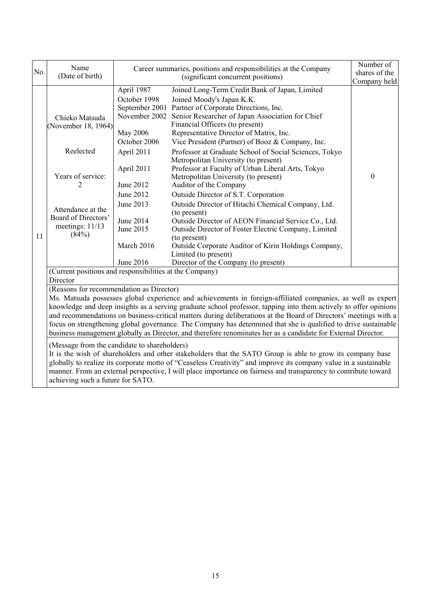| No. | Name<br>(Date of birth)                                                                                                                                                                                                                                                                                                                                                                                                                                                                                                                                                                                                                                                                                                                                                                                                                                                                                                                                                                                                                                                       | Career summaries, positions and responsibilities at the Company<br>(significant concurrent positions)                                                                                           |                                                                                                                                                                                                                                                                                                                                                                                                                                                                                                                                                                                                                                                                                                                                                                                                                                                                                                                          | Number of<br>shares of the   |  |  |
|-----|-------------------------------------------------------------------------------------------------------------------------------------------------------------------------------------------------------------------------------------------------------------------------------------------------------------------------------------------------------------------------------------------------------------------------------------------------------------------------------------------------------------------------------------------------------------------------------------------------------------------------------------------------------------------------------------------------------------------------------------------------------------------------------------------------------------------------------------------------------------------------------------------------------------------------------------------------------------------------------------------------------------------------------------------------------------------------------|-------------------------------------------------------------------------------------------------------------------------------------------------------------------------------------------------|--------------------------------------------------------------------------------------------------------------------------------------------------------------------------------------------------------------------------------------------------------------------------------------------------------------------------------------------------------------------------------------------------------------------------------------------------------------------------------------------------------------------------------------------------------------------------------------------------------------------------------------------------------------------------------------------------------------------------------------------------------------------------------------------------------------------------------------------------------------------------------------------------------------------------|------------------------------|--|--|
| 11  | Chieko Matsuda<br>(November 18, 1964)<br>Reelected<br>Years of service:<br>2<br>Attendance at the<br>Board of Directors'<br>meetings: $11/13$<br>(84%)                                                                                                                                                                                                                                                                                                                                                                                                                                                                                                                                                                                                                                                                                                                                                                                                                                                                                                                        | April 1987<br>October 1998<br>November 2002<br>May 2006<br>October 2006<br>April 2011<br>April 2011<br>June 2012<br>June 2012<br>June 2013<br>June 2014<br>June 2015<br>March 2016<br>June 2016 | Joined Long-Term Credit Bank of Japan, Limited<br>Joined Moody's Japan K.K.<br>September 2001 Partner of Corporate Directions, Inc.<br>Senior Researcher of Japan Association for Chief<br>Financial Officers (to present)<br>Representative Director of Matrix, Inc.<br>Vice President (Partner) of Booz & Company, Inc.<br>Professor at Graduate School of Social Sciences, Tokyo<br>Metropolitan University (to present)<br>Professor at Faculty of Urban Liberal Arts, Tokyo<br>Metropolitan University (to present)<br>Auditor of the Company<br>Outside Director of S.T. Corporation<br>Outside Director of Hitachi Chemical Company, Ltd.<br>(to present)<br>Outside Director of AEON Financial Service Co., Ltd.<br>Outside Director of Foster Electric Company, Limited<br>(to present)<br>Outside Corporate Auditor of Kirin Holdings Company,<br>Limited (to present)<br>Director of the Company (to present) | Company held<br>$\mathbf{0}$ |  |  |
|     | (Current positions and responsibilities at the Company)<br>Director                                                                                                                                                                                                                                                                                                                                                                                                                                                                                                                                                                                                                                                                                                                                                                                                                                                                                                                                                                                                           |                                                                                                                                                                                                 |                                                                                                                                                                                                                                                                                                                                                                                                                                                                                                                                                                                                                                                                                                                                                                                                                                                                                                                          |                              |  |  |
|     | (Reasons for recommendation as Director)<br>Ms. Matsuda possesses global experience and achievements in foreign-affiliated companies, as well as expert<br>knowledge and deep insights as a serving graduate school professor, tapping into them actively to offer opinions<br>and recommendations on business-critical matters during deliberations at the Board of Directors' meetings with a<br>focus on strengthening global governance. The Company has determined that she is qualified to drive sustainable<br>business management globally as Director, and therefore renominates her as a candidate for External Director.<br>(Message from the candidate to shareholders)<br>It is the wish of shareholders and other stakeholders that the SATO Group is able to grow its company base<br>globally to realize its corporate motto of "Ceaseless Creativity" and improve its company value in a sustainable<br>manner. From an external perspective, I will place importance on fairness and transparency to contribute toward<br>achieving such a future for SATO. |                                                                                                                                                                                                 |                                                                                                                                                                                                                                                                                                                                                                                                                                                                                                                                                                                                                                                                                                                                                                                                                                                                                                                          |                              |  |  |